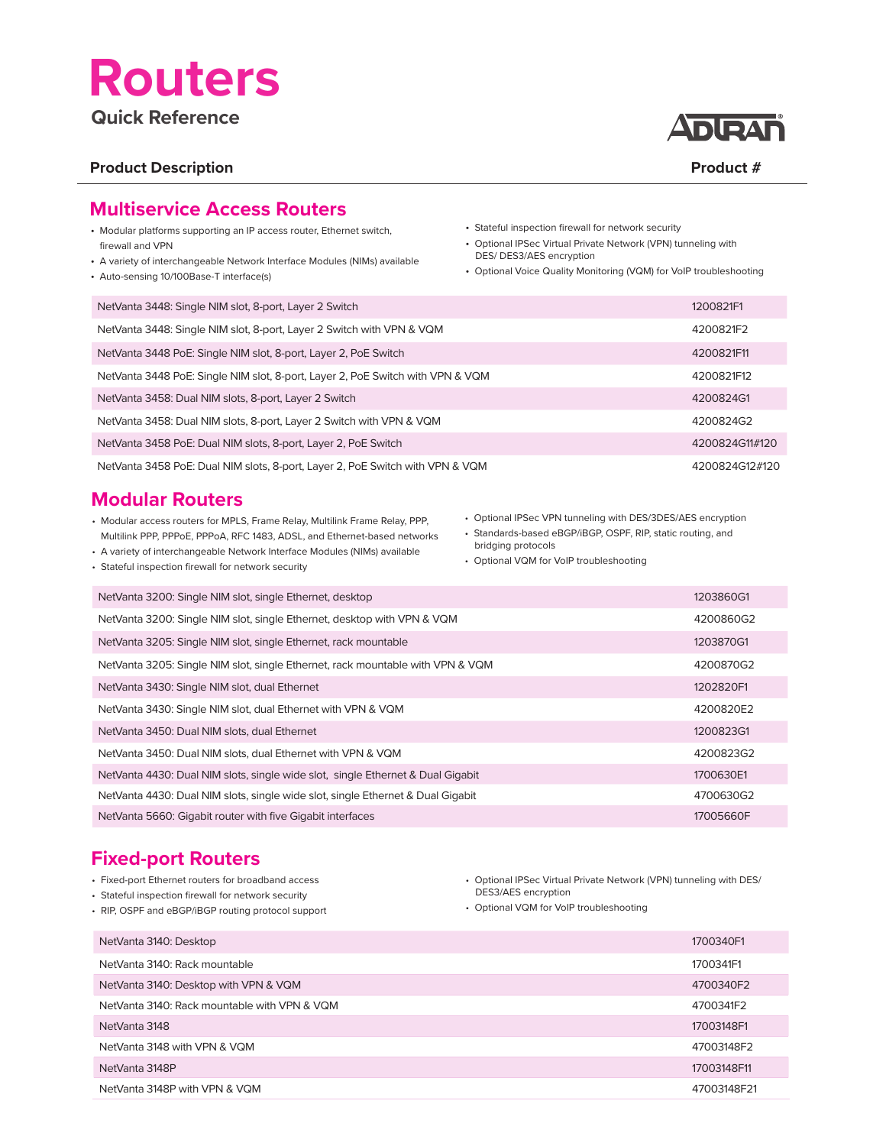# **Routers**

### **Quick Reference**

### Product Description **Product # 2**  $\blacksquare$  Product #  $\blacksquare$  Product #  $\blacksquare$



### **Multiservice Access Routers**

- Modular platforms supporting an IP access router, Ethernet switch, firewall and VPN
- A variety of interchangeable Network Interface Modules (NIMs) available
- Auto-sensing 10/100Base-T interface(s)
- Stateful inspection firewall for network security
- Optional IPSec Virtual Private Network (VPN) tunneling with DES/ DES3/AES encryption
- Optional Voice Quality Monitoring (VQM) for VoIP troubleshooting

| NetVanta 3448: Single NIM slot, 8-port, Layer 2 Switch                         | 1200821F1      |
|--------------------------------------------------------------------------------|----------------|
| NetVanta 3448: Single NIM slot, 8-port, Layer 2 Switch with VPN & VQM          | 4200821F2      |
| NetVanta 3448 PoE: Single NIM slot, 8-port, Layer 2, PoE Switch                | 4200821F11     |
| NetVanta 3448 PoE: Single NIM slot, 8-port, Layer 2, PoE Switch with VPN & VQM | 4200821F12     |
| NetVanta 3458: Dual NIM slots, 8-port, Layer 2 Switch                          | 4200824G1      |
| NetVanta 3458: Dual NIM slots, 8-port, Layer 2 Switch with VPN & VQM           | 4200824G2      |
| NetVanta 3458 PoE: Dual NIM slots, 8-port, Layer 2, PoE Switch                 | 4200824G11#120 |
| NetVanta 3458 PoE: Dual NIM slots, 8-port, Layer 2, PoE Switch with VPN & VQM  | 4200824G12#120 |

### **Modular Routers**

- Modular access routers for MPLS, Frame Relay, Multilink Frame Relay, PPP, Multilink PPP, PPPoE, PPPoA, RFC 1483, ADSL, and Ethernet-based networks
- A variety of interchangeable Network Interface Modules (NIMs) available
- Stateful inspection firewall for network security

• Optional IPSec VPN tunneling with DES/3DES/AES encryption

- Standards-based eBGP/iBGP, OSPF, RIP, static routing, and bridging protocols
- Optional VQM for VoIP troubleshooting

| NetVanta 3200: Single NIM slot, single Ethernet, desktop                        | 1203860G1 |
|---------------------------------------------------------------------------------|-----------|
| NetVanta 3200: Single NIM slot, single Ethernet, desktop with VPN & VQM         | 4200860G2 |
| NetVanta 3205: Single NIM slot, single Ethernet, rack mountable                 | 1203870G1 |
| NetVanta 3205: Single NIM slot, single Ethernet, rack mountable with VPN & VQM  | 4200870G2 |
| NetVanta 3430: Single NIM slot, dual Ethernet                                   | 1202820F1 |
| NetVanta 3430: Single NIM slot, dual Ethernet with VPN & VQM                    | 4200820E2 |
| NetVanta 3450: Dual NIM slots, dual Ethernet                                    | 1200823G1 |
| NetVanta 3450: Dual NIM slots, dual Ethernet with VPN & VQM                     | 4200823G2 |
| NetVanta 4430: Dual NIM slots, single wide slot, single Ethernet & Dual Gigabit | 1700630E1 |
| NetVanta 4430: Dual NIM slots, single wide slot, single Ethernet & Dual Gigabit | 4700630G2 |
| NetVanta 5660: Gigabit router with five Gigabit interfaces                      | 17005660F |

### **Fixed-port Routers**

- Fixed-port Ethernet routers for broadband access
- Stateful inspection firewall for network security
- RIP, OSPF and eBGP/iBGP routing protocol support
- Optional IPSec Virtual Private Network (VPN) tunneling with DES/ DES3/AES encryption
- Optional VQM for VoIP troubleshooting

| NetVanta 3140: Desktop                       | 1700340F1   |
|----------------------------------------------|-------------|
| NetVanta 3140: Rack mountable                | 1700341F1   |
| NetVanta 3140: Desktop with VPN & VQM        | 4700340F2   |
| NetVanta 3140: Rack mountable with VPN & VQM | 4700341F2   |
| NetVanta 3148                                | 17003148F1  |
| NetVanta 3148 with VPN & VQM                 | 47003148F2  |
| NetVanta 3148P                               | 17003148F11 |
| NetVanta 3148P with VPN & VQM                | 47003148F21 |